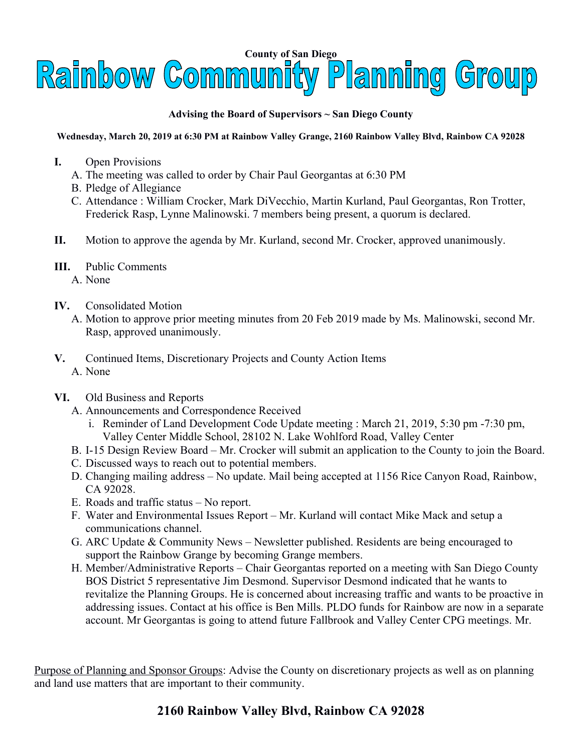

## **Advising the Board of Supervisors ~ San Diego County**

## **Wednesday, March 20, 2019 at 6:30 PM at Rainbow Valley Grange, 2160 Rainbow Valley Blvd, Rainbow CA 92028**

- **I.** Open Provisions
	- A. The meeting was called to order by Chair Paul Georgantas at 6:30 PM
	- B. Pledge of Allegiance
	- C. Attendance : William Crocker, Mark DiVecchio, Martin Kurland, Paul Georgantas, Ron Trotter, Frederick Rasp, Lynne Malinowski. 7 members being present, a quorum is declared.
- **II.** Motion to approve the agenda by Mr. Kurland, second Mr. Crocker, approved unanimously.
- **III.** Public Comments
	- A. None
- **IV.** Consolidated Motion
	- A. Motion to approve prior meeting minutes from 20 Feb 2019 made by Ms. Malinowski, second Mr. Rasp, approved unanimously.
- **V.** Continued Items, Discretionary Projects and County Action Items A. None
- **VI.** Old Business and Reports
	- A. Announcements and Correspondence Received
		- i. Reminder of Land Development Code Update meeting : March 21, 2019, 5:30 pm -7:30 pm, Valley Center Middle School, 28102 N. Lake Wohlford Road, Valley Center
	- B. I-15 Design Review Board Mr. Crocker will submit an application to the County to join the Board.
	- C. Discussed ways to reach out to potential members.
	- D. Changing mailing address No update. Mail being accepted at 1156 Rice Canyon Road, Rainbow, CA 92028.
	- E. Roads and traffic status No report.
	- F. Water and Environmental Issues Report Mr. Kurland will contact Mike Mack and setup a communications channel.
	- G. ARC Update & Community News Newsletter published. Residents are being encouraged to support the Rainbow Grange by becoming Grange members.
	- H. Member/Administrative Reports Chair Georgantas reported on a meeting with San Diego County BOS District 5 representative Jim Desmond. Supervisor Desmond indicated that he wants to revitalize the Planning Groups. He is concerned about increasing traffic and wants to be proactive in addressing issues. Contact at his office is Ben Mills. PLDO funds for Rainbow are now in a separate account. Mr Georgantas is going to attend future Fallbrook and Valley Center CPG meetings. Mr.

Purpose of Planning and Sponsor Groups: Advise the County on discretionary projects as well as on planning and land use matters that are important to their community.

## **2160 Rainbow Valley Blvd, Rainbow CA 92028**